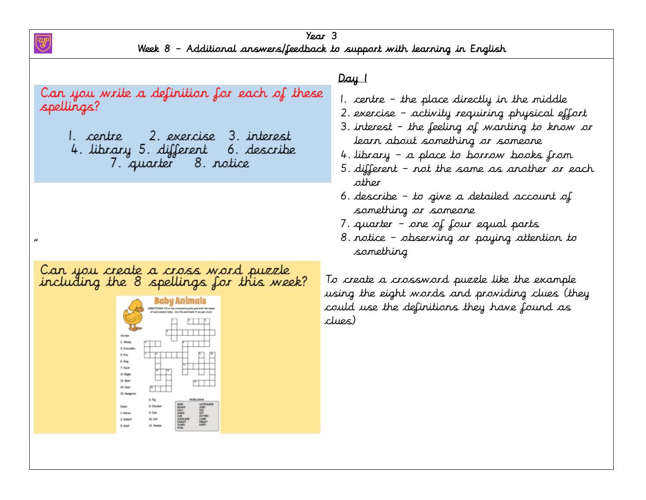Year 3 Week 8 – Additional answers/feedback to support with learning in English

Day 1 Can you write a definition for each of these  $\overline{1}$ 1. centre – the place directly in the middle spellings?  $\ddot{\phantom{a}}$ 2. exercise – activity requiring physical effort  $\overline{\phantom{a}}$ 3. interest – the feeling of wanting to know or 1. centre 2. exercise 3. interest learn about something or someone 4. library 5. different 6. describe 4. library – a place to borrow books from 7. quarter 8. notice 5. different – not the same as another or each other 6. describe – to give a detailed account of something or someone 7. quarter – one of four equal parts 8. notice – observing or paying attention to  $\alpha$ something Can you create a cross word puzzle<br>including the 8 spellings for this week? To create a crossword puzzle like the example using the eight words and providing clues (they Baby Animal could use the definitions they have found as clues)6. Deg 7. Decl 12.8mg **14. Des** 15. Kana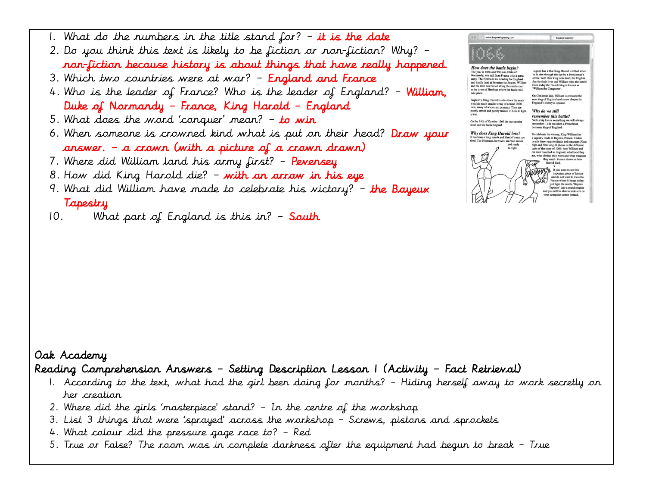

### Tapestry

10. What part of England is this in? – **South** 

## Oak Academy

### Reading Comprehension Answers – Setting Description Lesson 1 (Activity – Fact Retrieval)

- 1. According to the text, what had the girl been doing for months? Hiding herself away to work secretly on her creation
- 2. Where did the girls 'masterpiece' stand? In the centre of the workshop
- 3. List 3 things that were 'sprayed' across the workshop Screws, pistons and sprockets
- 4. What colour did the pressure gage race to? Red
- 5. True or False? The room was in complete darkness after the equipment had begun to break True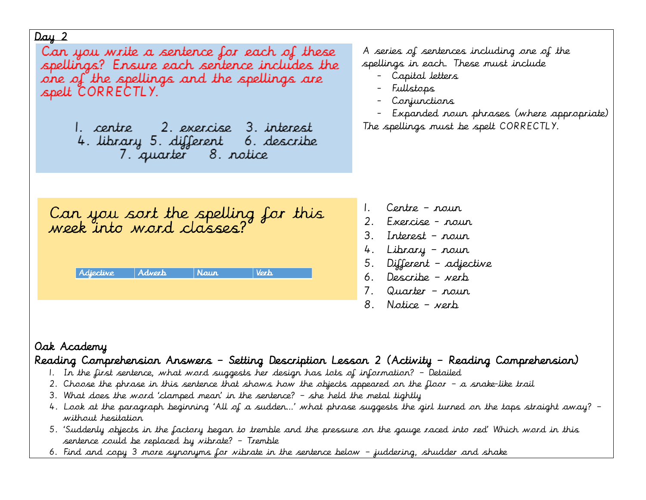Can you write a sentence for each of these spellings? Ensure each sentence includes the one of the spellings and the spellings are spelt CORRECTLY.

> 1. centre - 2. exercise 3. interest 4. library 5. different 6. describe 7. quarter 8. notice

A series of sentences including one of the spellings in each. These must include

- Capital letters
- Fullstops
- Conjunctions
- Expanded noun phrases (where appropriate) The spellings must be spelt CORRECTLY.

Can you sort the spelling for this<br>week into word classes?

| Adjective | Adverb | <b>Naur</b> | <b>Vorh</b> |
|-----------|--------|-------------|-------------|
|           |        |             |             |

- 1. Centre noun
- 2. Exercise noun
- 3. Interest noun
- 4. Library noun
- 5. Different adjective
- 6. Describe verb
- 7. Quarter noun
- 8. Notice verb

## Oak Academy

## Reading Comprehension Answers – Setting Description Lesson 2 (Activity – Reading Comprehension)

- 1. In the first sentence, what word suggests her design has lots of information? Detailed
- 2. Choose the phrase in this sentence that shows how the objects appeared on the floor a snake-like trail
- 3. What does the word 'clamped mean' in the sentence? she held the metal tightly
- 4. Look at the paragraph beginning 'All of a sudden…' what phrase suggests the girl turned on the taps straight away? without hesitation
- 5. 'Suddenly objects in the factory began to tremble and the pressure on the gauge raced into red' Which word in this sentence could be replaced by vibrate? – Tremble
- 6. Find and copy 3 more synonyms for vibrate in the sentence below juddering, shudder and shake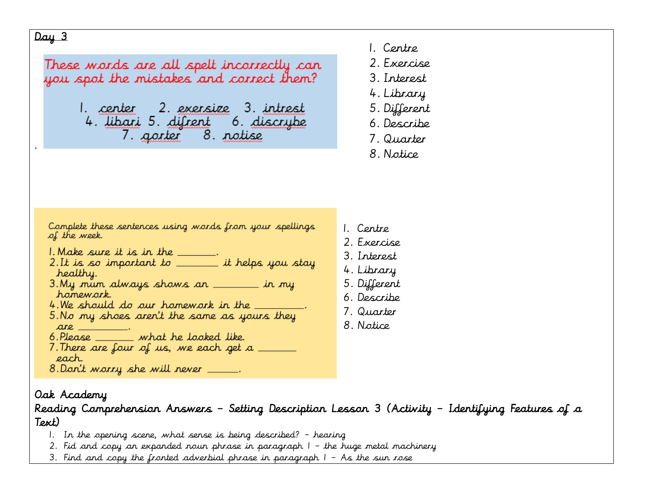.

These words are all spelt incorrectly can you spot the mistakes and correct them?

> 1. center 2. exersize 3. intrest 4. libari 5. difrent 6. discrybe 7. gorter 8. notise

- 1. Centre
- 2. Exercise
- 3. Interest
- 4. Library
- 5. Different
- 6. Describe
- 7. Quarter
- 8. Notice

Complete these sentences using words from your spellings of the week.

- 
- I. Make sure it is in the \_\_\_\_\_\_.<br>2. It is so important to \_\_\_\_\_\_\_\_\_ it helps you stay healthy.
- 3. My nun always shows an \_\_\_\_\_ in my hamework.
- 4. We should do our homework in the \_\_\_\_\_\_\_.
- 5. No my shoes aren't the same as yours they  $are$
- 6. Please \_\_\_\_\_ what he looked like.
- 7. There are four of us, we each get a each.
- 8. Don't warry she will never \_\_\_\_\_.

## Oak Academy

Reading Comprehension Answers – Setting Description Lesson 3 (Activity – Identifying Features of a Text)

- 1. In the opening scene, what sense is being described? hearing
- 2. Fid and copy an expanded noun phrase in paragraph 1 the huge metal machinery
- 3. Find and copy the fronted adverbial phrase in paragraph  $1 As$  the sun rose
- 1. Centre
- 2. Exercise
- 3. Interest
- 4. Library
- 5. Different
- 6. Describe
- 7. Quarter
- 8. Notice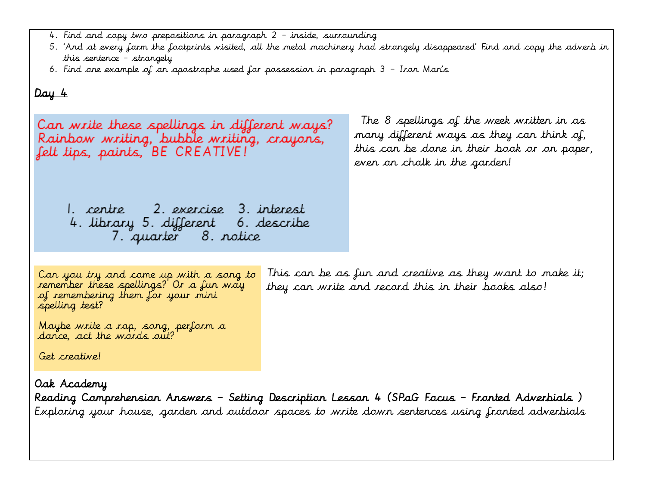- 4. Find and copy two prepositions in paragraph 2 inside, surrounding
- 5. 'And at every farm the footprints visited, all the metal machinery had strangely disappeared' Find and copy the adverb in this sentence – strangely
- 6. Find one example of an apostrophe used for possession in paragraph 3 Iron Man's

The 8 spellings of the week written in as Can write these spellings in different ways? many different ways as they can think of, Rainbow writing, bubble writing, crayons, this can be done in their book or on paper, felt tips, paints, BE CREATIVE! even on chalk in the garden! 1. centre - 2. exercise 3. interest 4. library 5. different 6. describe 7. quarter 8. notice This can be as fun and creative as they want to make it; Can you try and come up with a song to remember these spellings? Or a fun way they can write and record this in their books also! of remembering them for your mini spelling test? Maybe write a rap, song, perform a dance, act the words out? Get creative!

Oak Academy

Reading Comprehension Answers – Setting Description Lesson 4 (SPaG Focus – Fronted Adverbials ) Exploring your house, garden and outdoor spaces to write down sentences using fronted adverbials